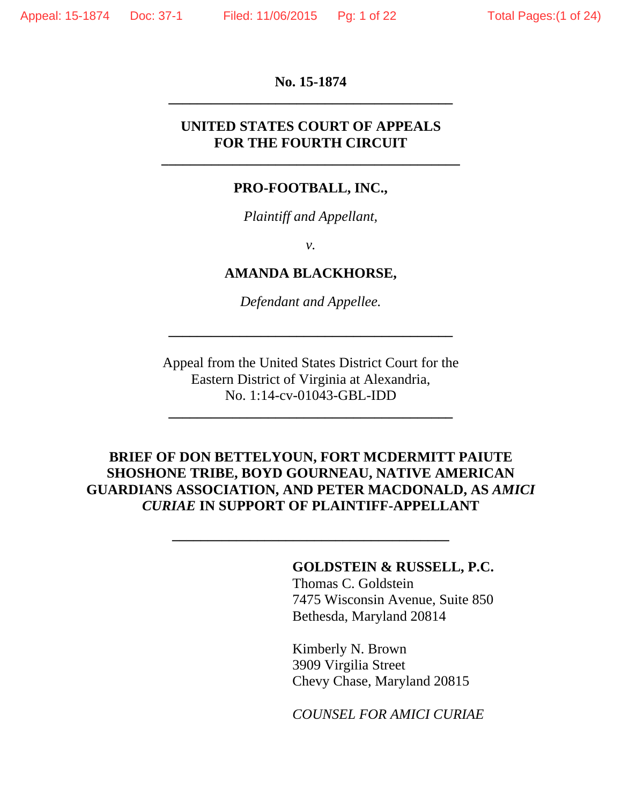### **No. 15-1874 \_\_\_\_\_\_\_\_\_\_\_\_\_\_\_\_\_\_\_\_\_\_\_\_\_\_\_\_\_\_\_\_\_\_\_\_\_\_\_\_**

### **UNITED STATES COURT OF APPEALS FOR THE FOURTH CIRCUIT**

**\_\_\_\_\_\_\_\_\_\_\_\_\_\_\_\_\_\_\_\_\_\_\_\_\_\_\_\_\_\_\_\_\_\_\_\_\_\_\_\_\_\_** 

#### **PRO-FOOTBALL, INC.,**

*Plaintiff and Appellant,* 

*v.* 

#### **AMANDA BLACKHORSE,**

*Defendant and Appellee.*

**\_\_\_\_\_\_\_\_\_\_\_\_\_\_\_\_\_\_\_\_\_\_\_\_\_\_\_\_\_\_\_\_\_\_\_\_\_\_\_\_** 

Appeal from the United States District Court for the Eastern District of Virginia at Alexandria, No. 1:14-cv-01043-GBL-IDD

**\_\_\_\_\_\_\_\_\_\_\_\_\_\_\_\_\_\_\_\_\_\_\_\_\_\_\_\_\_\_\_\_\_\_\_\_\_\_\_\_** 

### **BRIEF OF DON BETTELYOUN, FORT MCDERMITT PAIUTE SHOSHONE TRIBE, BOYD GOURNEAU, NATIVE AMERICAN GUARDIANS ASSOCIATION, AND PETER MACDONALD, AS** *AMICI CURIAE* **IN SUPPORT OF PLAINTIFF-APPELLANT**

**\_\_\_\_\_\_\_\_\_\_\_\_\_\_\_\_\_\_\_\_\_\_\_\_\_\_\_\_\_\_\_\_\_\_\_\_\_\_\_** 

## **GOLDSTEIN & RUSSELL, P.C.**

 Thomas C. Goldstein 7475 Wisconsin Avenue, Suite 850 Bethesda, Maryland 20814

 Kimberly N. Brown 3909 Virgilia Street Chevy Chase, Maryland 20815

 *COUNSEL FOR AMICI CURIAE*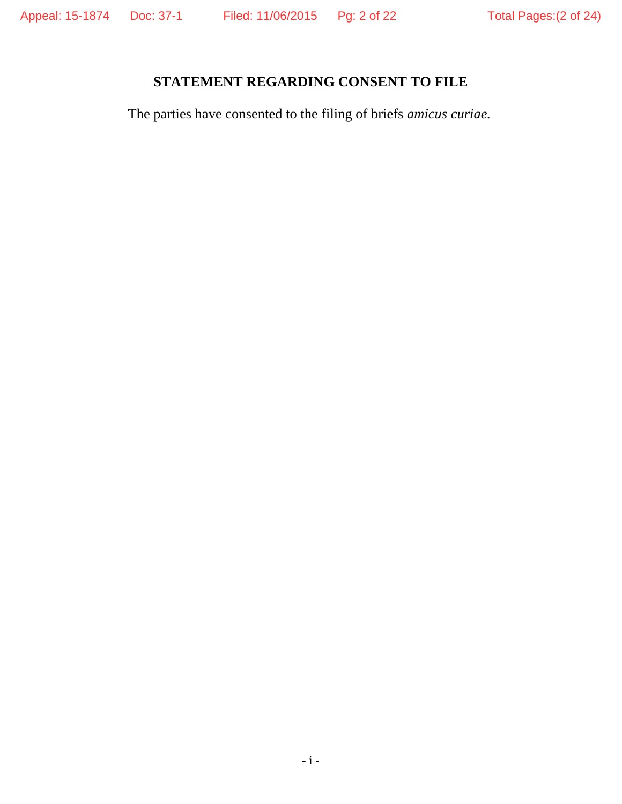# **STATEMENT REGARDING CONSENT TO FILE**

The parties have consented to the filing of briefs *amicus curiae.*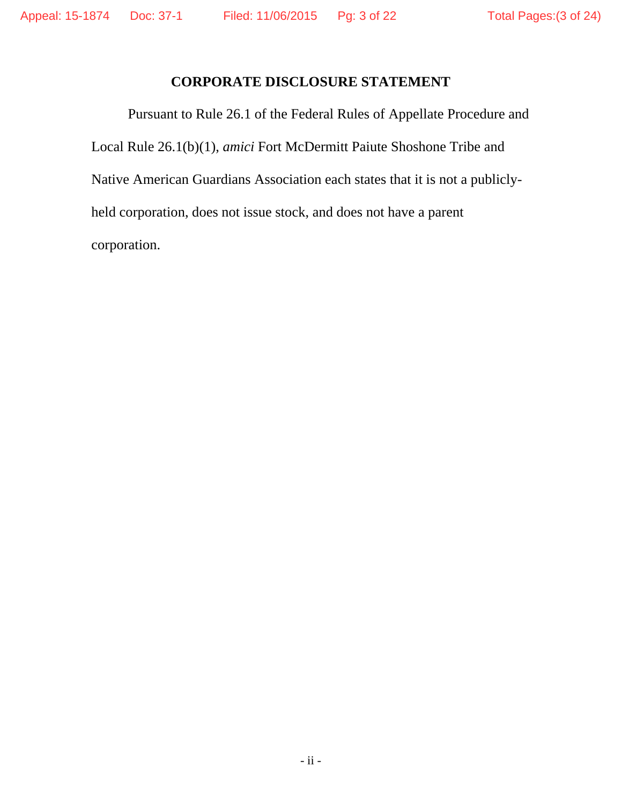### **CORPORATE DISCLOSURE STATEMENT**

Pursuant to Rule 26.1 of the Federal Rules of Appellate Procedure and Local Rule 26.1(b)(1), *amici* Fort McDermitt Paiute Shoshone Tribe and Native American Guardians Association each states that it is not a publiclyheld corporation, does not issue stock, and does not have a parent corporation.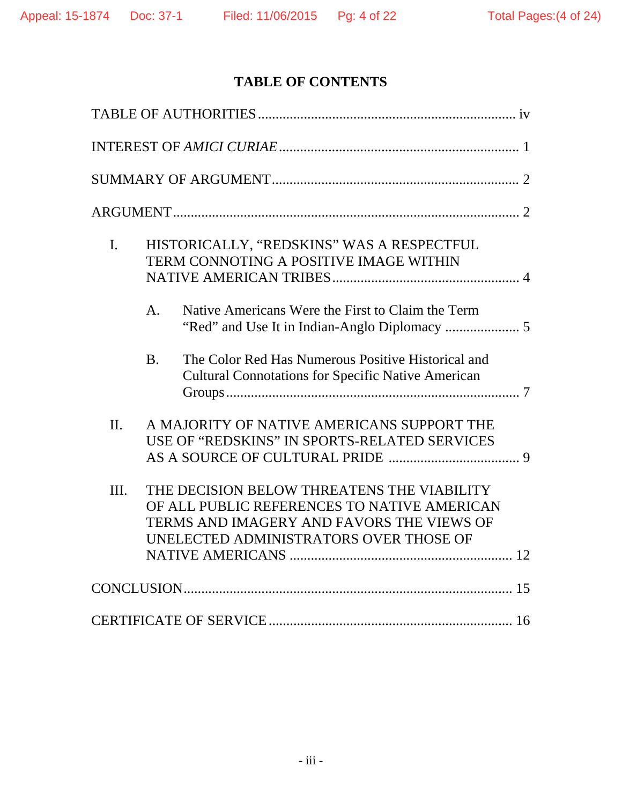# **TABLE OF CONTENTS**

| $\mathbf{I}$ . |           | HISTORICALLY, "REDSKINS" WAS A RESPECTFUL<br>TERM CONNOTING A POSITIVE IMAGE WITHIN                                                                                              |  |
|----------------|-----------|----------------------------------------------------------------------------------------------------------------------------------------------------------------------------------|--|
|                | A.        | Native Americans Were the First to Claim the Term                                                                                                                                |  |
|                | <b>B.</b> | The Color Red Has Numerous Positive Historical and<br><b>Cultural Connotations for Specific Native American</b>                                                                  |  |
| II.            |           | A MAJORITY OF NATIVE AMERICANS SUPPORT THE<br>USE OF "REDSKINS" IN SPORTS-RELATED SERVICES                                                                                       |  |
| III.           |           | THE DECISION BELOW THREATENS THE VIABILITY<br>OF ALL PUBLIC REFERENCES TO NATIVE AMERICAN<br>TERMS AND IMAGERY AND FAVORS THE VIEWS OF<br>UNELECTED ADMINISTRATORS OVER THOSE OF |  |
|                |           |                                                                                                                                                                                  |  |
|                |           |                                                                                                                                                                                  |  |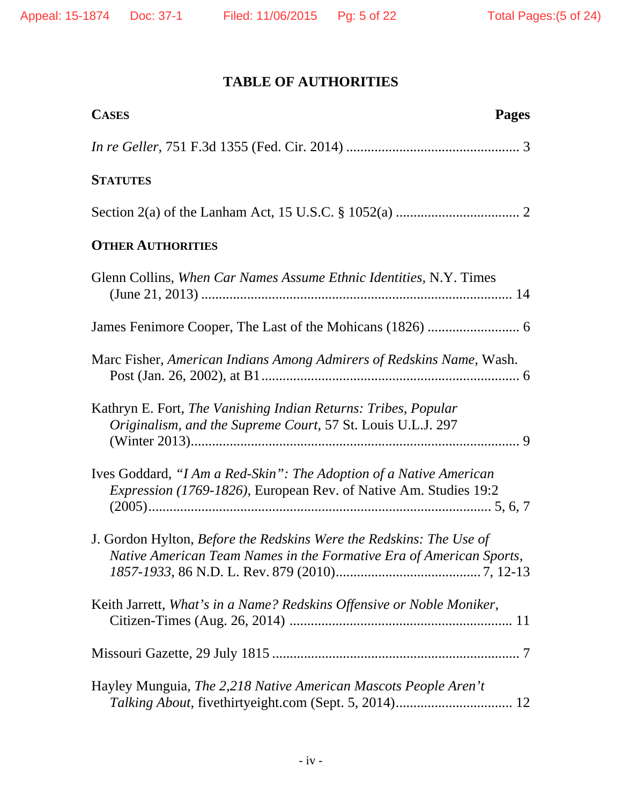## **TABLE OF AUTHORITIES**

| <b>CASES</b><br><b>Pages</b>                                                                                                               |
|--------------------------------------------------------------------------------------------------------------------------------------------|
|                                                                                                                                            |
| <b>STATUTES</b>                                                                                                                            |
|                                                                                                                                            |
| <b>OTHER AUTHORITIES</b>                                                                                                                   |
| Glenn Collins, When Car Names Assume Ethnic Identities, N.Y. Times                                                                         |
|                                                                                                                                            |
| Marc Fisher, American Indians Among Admirers of Redskins Name, Wash.                                                                       |
| Kathryn E. Fort, The Vanishing Indian Returns: Tribes, Popular<br>Originalism, and the Supreme Court, 57 St. Louis U.L.J. 297              |
| Ives Goddard, "I Am a Red-Skin": The Adoption of a Native American<br>Expression (1769-1826), European Rev. of Native Am. Studies 19:2     |
| J. Gordon Hylton, Before the Redskins Were the Redskins: The Use of<br>Native American Team Names in the Formative Era of American Sports, |
| Keith Jarrett, What's in a Name? Redskins Offensive or Noble Moniker,                                                                      |
|                                                                                                                                            |
| Hayley Munguia, The 2,218 Native American Mascots People Aren't                                                                            |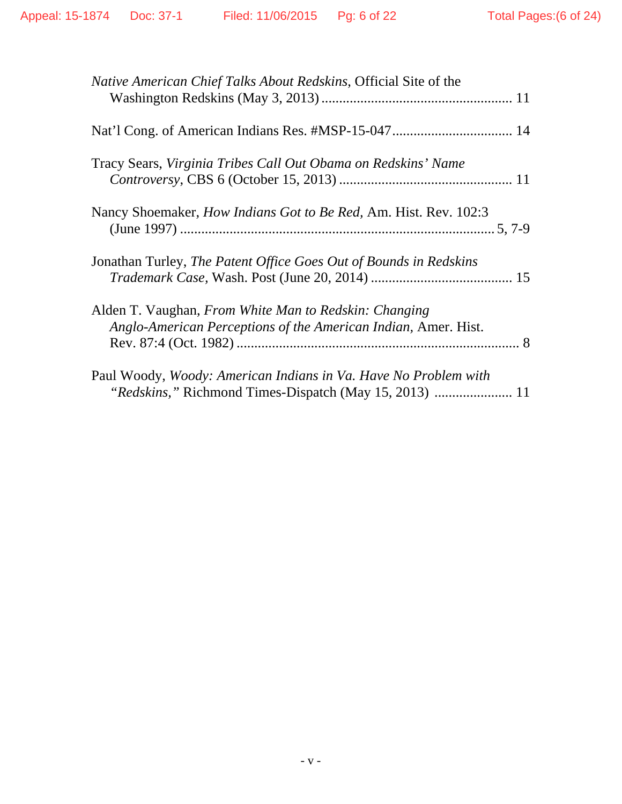| Native American Chief Talks About Redskins, Official Site of the                                                                 |
|----------------------------------------------------------------------------------------------------------------------------------|
|                                                                                                                                  |
| Tracy Sears, Virginia Tribes Call Out Obama on Redskins' Name                                                                    |
| Nancy Shoemaker, <i>How Indians Got to Be Red</i> , Am. Hist. Rev. 102:3                                                         |
| Jonathan Turley, The Patent Office Goes Out of Bounds in Redskins                                                                |
| Alden T. Vaughan, From White Man to Redskin: Changing<br>Anglo-American Perceptions of the American Indian, Amer. Hist.          |
| Paul Woody, <i>Woody: American Indians in Va. Have No Problem with</i><br>"Redskins," Richmond Times-Dispatch (May 15, 2013)  11 |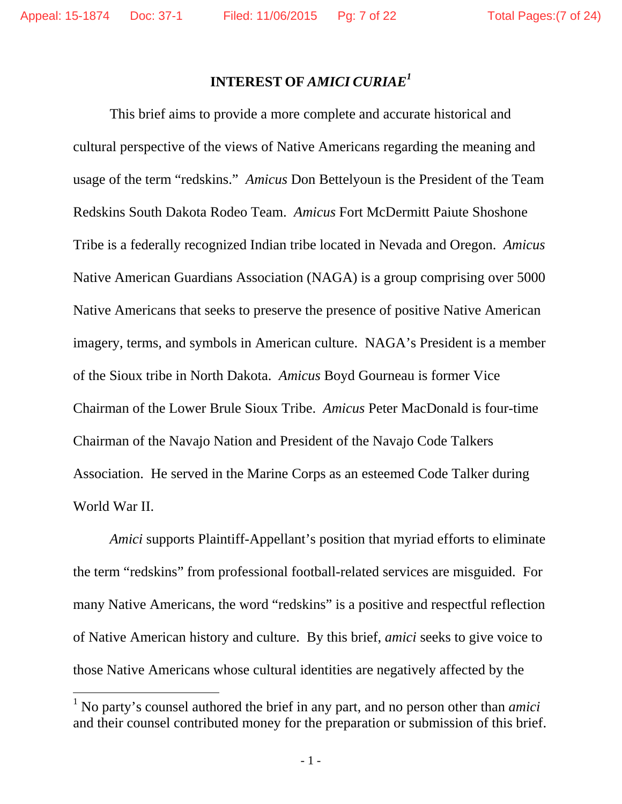### **INTEREST OF** *AMICI CURIAE<sup>1</sup>*

 This brief aims to provide a more complete and accurate historical and cultural perspective of the views of Native Americans regarding the meaning and usage of the term "redskins." *Amicus* Don Bettelyoun is the President of the Team Redskins South Dakota Rodeo Team. *Amicus* Fort McDermitt Paiute Shoshone Tribe is a federally recognized Indian tribe located in Nevada and Oregon. *Amicus* Native American Guardians Association (NAGA) is a group comprising over 5000 Native Americans that seeks to preserve the presence of positive Native American imagery, terms, and symbols in American culture. NAGA's President is a member of the Sioux tribe in North Dakota. *Amicus* Boyd Gourneau is former Vice Chairman of the Lower Brule Sioux Tribe. *Amicus* Peter MacDonald is four-time Chairman of the Navajo Nation and President of the Navajo Code Talkers Association. He served in the Marine Corps as an esteemed Code Talker during World War II.

*Amici* supports Plaintiff-Appellant's position that myriad efforts to eliminate the term "redskins" from professional football-related services are misguided. For many Native Americans, the word "redskins" is a positive and respectful reflection of Native American history and culture. By this brief, *amici* seeks to give voice to those Native Americans whose cultural identities are negatively affected by the

 

<sup>&</sup>lt;sup>1</sup> No party's counsel authored the brief in any part, and no person other than *amici* and their counsel contributed money for the preparation or submission of this brief.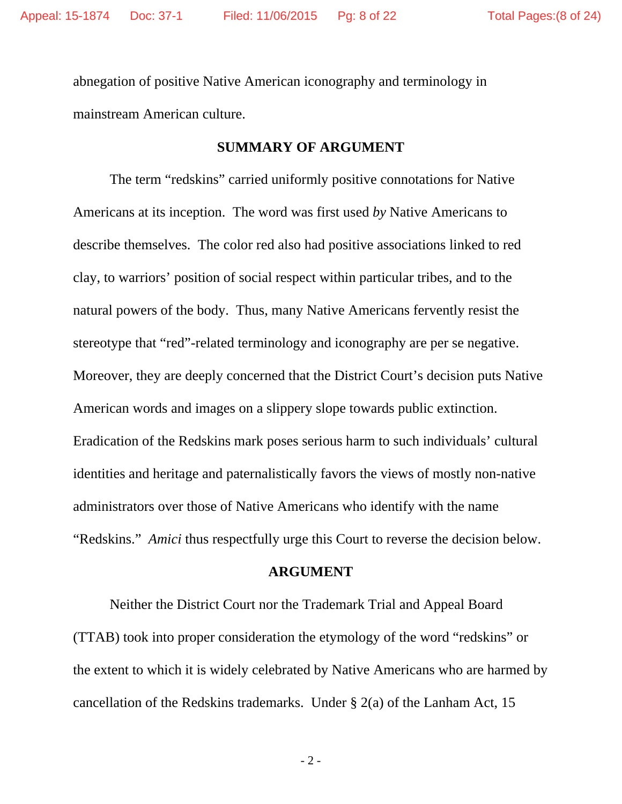abnegation of positive Native American iconography and terminology in mainstream American culture.

### **SUMMARY OF ARGUMENT**

 The term "redskins" carried uniformly positive connotations for Native Americans at its inception. The word was first used *by* Native Americans to describe themselves. The color red also had positive associations linked to red clay, to warriors' position of social respect within particular tribes, and to the natural powers of the body. Thus, many Native Americans fervently resist the stereotype that "red"-related terminology and iconography are per se negative. Moreover, they are deeply concerned that the District Court's decision puts Native American words and images on a slippery slope towards public extinction. Eradication of the Redskins mark poses serious harm to such individuals' cultural identities and heritage and paternalistically favors the views of mostly non-native administrators over those of Native Americans who identify with the name "Redskins." *Amici* thus respectfully urge this Court to reverse the decision below.

#### **ARGUMENT**

Neither the District Court nor the Trademark Trial and Appeal Board (TTAB) took into proper consideration the etymology of the word "redskins" or the extent to which it is widely celebrated by Native Americans who are harmed by cancellation of the Redskins trademarks. Under § 2(a) of the Lanham Act, 15

- 2 -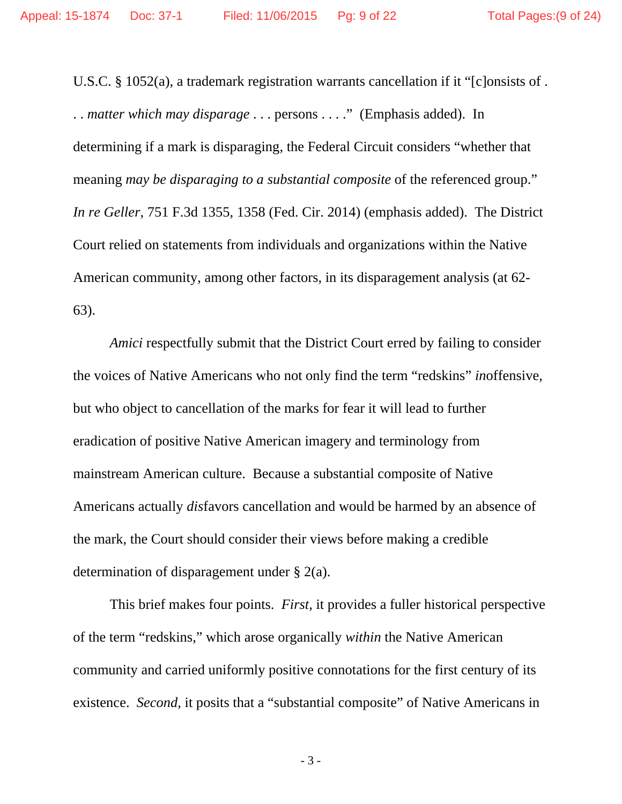U.S.C. § 1052(a), a trademark registration warrants cancellation if it "[c]onsists of . . . *matter which may disparage* . . . persons . . . ." (Emphasis added). In determining if a mark is disparaging, the Federal Circuit considers "whether that meaning *may be disparaging to a substantial composite* of the referenced group." *In re Geller*, 751 F.3d 1355, 1358 (Fed. Cir. 2014) (emphasis added). The District Court relied on statements from individuals and organizations within the Native American community, among other factors, in its disparagement analysis (at 62- 63).

*Amici* respectfully submit that the District Court erred by failing to consider the voices of Native Americans who not only find the term "redskins" *in*offensive, but who object to cancellation of the marks for fear it will lead to further eradication of positive Native American imagery and terminology from mainstream American culture. Because a substantial composite of Native Americans actually *dis*favors cancellation and would be harmed by an absence of the mark, the Court should consider their views before making a credible determination of disparagement under § 2(a).

 This brief makes four points. *First,* it provides a fuller historical perspective of the term "redskins," which arose organically *within* the Native American community and carried uniformly positive connotations for the first century of its existence. *Second,* it posits that a "substantial composite" of Native Americans in

- 3 -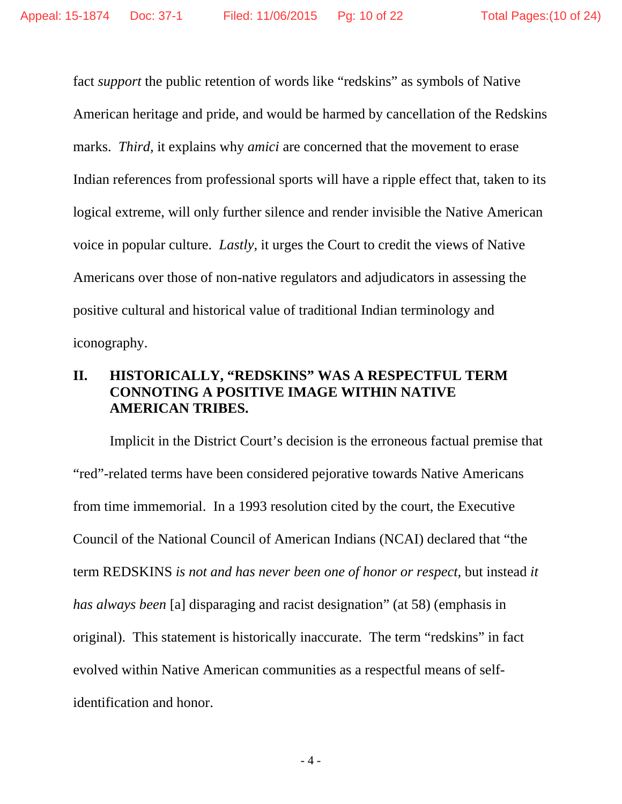fact *support* the public retention of words like "redskins" as symbols of Native American heritage and pride, and would be harmed by cancellation of the Redskins marks. *Third*, it explains why *amici* are concerned that the movement to erase Indian references from professional sports will have a ripple effect that, taken to its logical extreme, will only further silence and render invisible the Native American voice in popular culture. *Lastly,* it urges the Court to credit the views of Native Americans over those of non-native regulators and adjudicators in assessing the positive cultural and historical value of traditional Indian terminology and iconography.

### **II. HISTORICALLY, "REDSKINS" WAS A RESPECTFUL TERM CONNOTING A POSITIVE IMAGE WITHIN NATIVE AMERICAN TRIBES.**

Implicit in the District Court's decision is the erroneous factual premise that "red"-related terms have been considered pejorative towards Native Americans from time immemorial. In a 1993 resolution cited by the court, the Executive Council of the National Council of American Indians (NCAI) declared that "the term REDSKINS *is not and has never been one of honor or respect,* but instead *it has always been* [a] disparaging and racist designation" (at 58) (emphasis in original). This statement is historically inaccurate. The term "redskins" in fact evolved within Native American communities as a respectful means of selfidentification and honor.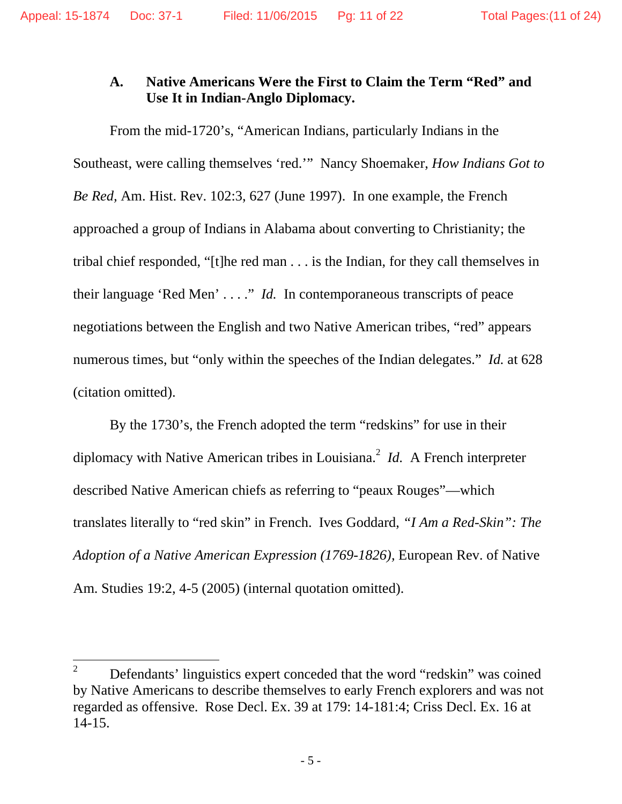### **A. Native Americans Were the First to Claim the Term "Red" and Use It in Indian-Anglo Diplomacy.**

 From the mid-1720's, "American Indians, particularly Indians in the Southeast, were calling themselves 'red.'" Nancy Shoemaker, *How Indians Got to Be Red,* Am. Hist. Rev. 102:3, 627 (June 1997). In one example, the French approached a group of Indians in Alabama about converting to Christianity; the tribal chief responded, "[t]he red man . . . is the Indian, for they call themselves in their language 'Red Men' . . . ." *Id.* In contemporaneous transcripts of peace negotiations between the English and two Native American tribes, "red" appears numerous times, but "only within the speeches of the Indian delegates." *Id.* at 628 (citation omitted).

 By the 1730's, the French adopted the term "redskins" for use in their diplomacy with Native American tribes in Louisiana.<sup>2</sup> *Id.* A French interpreter described Native American chiefs as referring to "peaux Rouges"—which translates literally to "red skin" in French. Ives Goddard, *"I Am a Red-Skin": The Adoption of a Native American Expression (1769-1826),* European Rev. of Native Am. Studies 19:2, 4-5 (2005) (internal quotation omitted).

 

<sup>2</sup> Defendants' linguistics expert conceded that the word "redskin" was coined by Native Americans to describe themselves to early French explorers and was not regarded as offensive. Rose Decl. Ex. 39 at 179: 14-181:4; Criss Decl. Ex. 16 at 14-15.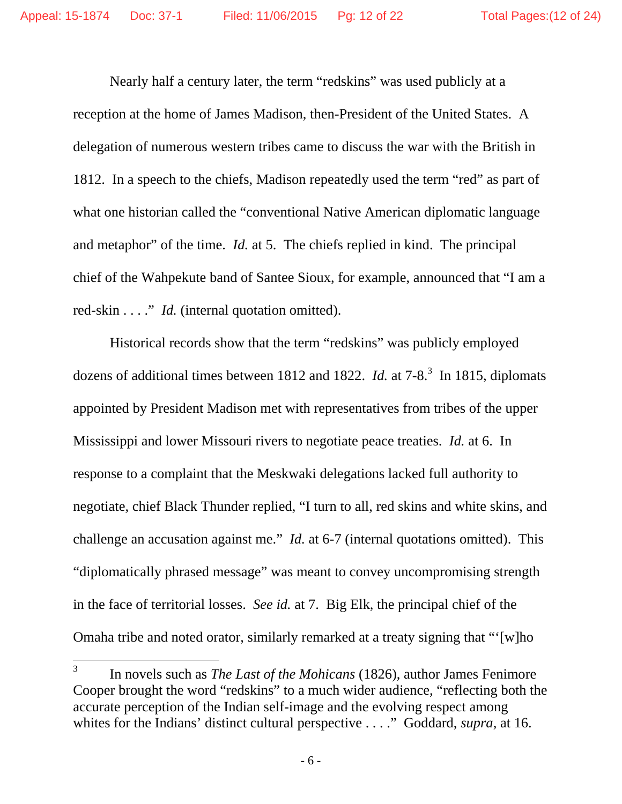Nearly half a century later, the term "redskins" was used publicly at a reception at the home of James Madison, then-President of the United States. A delegation of numerous western tribes came to discuss the war with the British in 1812. In a speech to the chiefs, Madison repeatedly used the term "red" as part of what one historian called the "conventional Native American diplomatic language and metaphor" of the time. *Id.* at 5. The chiefs replied in kind. The principal chief of the Wahpekute band of Santee Sioux, for example, announced that "I am a red-skin . . . ." *Id.* (internal quotation omitted).

 Historical records show that the term "redskins" was publicly employed dozens of additional times between 1812 and 1822. *Id.* at 7-8.<sup>3</sup> In 1815, diplomats appointed by President Madison met with representatives from tribes of the upper Mississippi and lower Missouri rivers to negotiate peace treaties. *Id.* at 6. In response to a complaint that the Meskwaki delegations lacked full authority to negotiate, chief Black Thunder replied, "I turn to all, red skins and white skins, and challenge an accusation against me." *Id.* at 6-7 (internal quotations omitted). This "diplomatically phrased message" was meant to convey uncompromising strength in the face of territorial losses. *See id.* at 7. Big Elk, the principal chief of the Omaha tribe and noted orator, similarly remarked at a treaty signing that "'[w]ho

 

<sup>3</sup> In novels such as *The Last of the Mohicans* (1826), author James Fenimore Cooper brought the word "redskins" to a much wider audience, "reflecting both the accurate perception of the Indian self-image and the evolving respect among whites for the Indians' distinct cultural perspective . . . ." Goddard, *supra*, at 16.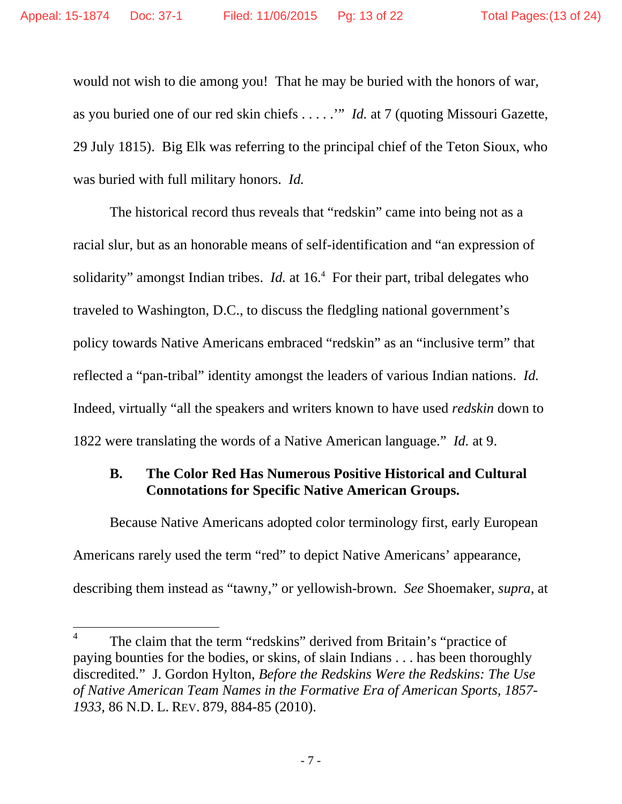would not wish to die among you! That he may be buried with the honors of war, as you buried one of our red skin chiefs . . . . .'" *Id.* at 7 (quoting Missouri Gazette, 29 July 1815). Big Elk was referring to the principal chief of the Teton Sioux, who was buried with full military honors. *Id.*

 The historical record thus reveals that "redskin" came into being not as a racial slur, but as an honorable means of self-identification and "an expression of solidarity" amongst Indian tribes. *Id.* at 16.<sup>4</sup> For their part, tribal delegates who traveled to Washington, D.C., to discuss the fledgling national government's policy towards Native Americans embraced "redskin" as an "inclusive term" that reflected a "pan-tribal" identity amongst the leaders of various Indian nations. *Id.* Indeed, virtually "all the speakers and writers known to have used *redskin* down to 1822 were translating the words of a Native American language." *Id.* at 9.

### **B. The Color Red Has Numerous Positive Historical and Cultural Connotations for Specific Native American Groups.**

Because Native Americans adopted color terminology first, early European Americans rarely used the term "red" to depict Native Americans' appearance, describing them instead as "tawny," or yellowish-brown. *See* Shoemaker, *supra*, at

<sup>4</sup> The claim that the term "redskins" derived from Britain's "practice of paying bounties for the bodies, or skins, of slain Indians . . . has been thoroughly discredited." J. Gordon Hylton, *Before the Redskins Were the Redskins: The Use of Native American Team Names in the Formative Era of American Sports, 1857- 1933,* 86 N.D. L. REV. 879, 884-85 (2010).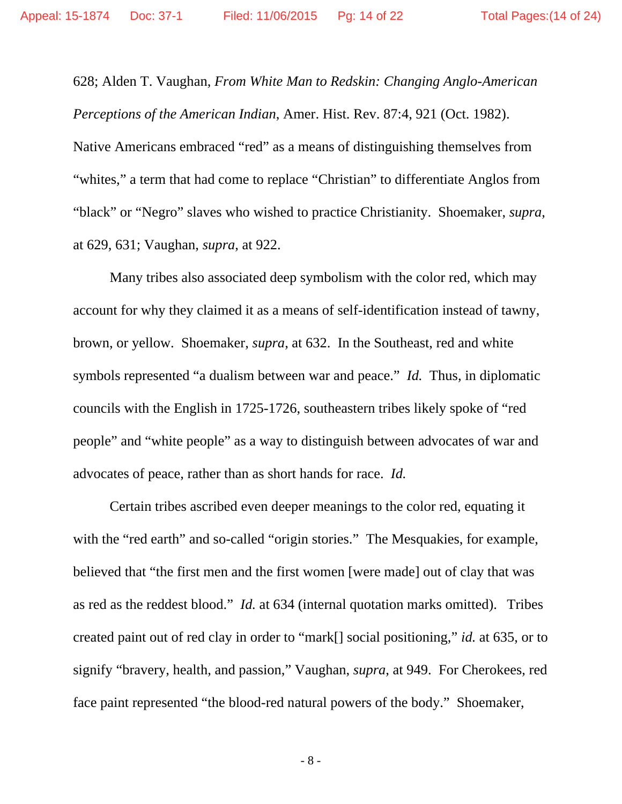628; Alden T. Vaughan, *From White Man to Redskin: Changing Anglo-American Perceptions of the American Indian*, Amer. Hist. Rev. 87:4, 921 (Oct. 1982). Native Americans embraced "red" as a means of distinguishing themselves from "whites," a term that had come to replace "Christian" to differentiate Anglos from "black" or "Negro" slaves who wished to practice Christianity. Shoemaker, *supra*, at 629, 631; Vaughan, *supra*, at 922.

Many tribes also associated deep symbolism with the color red, which may account for why they claimed it as a means of self-identification instead of tawny, brown, or yellow. Shoemaker, *supra*, at 632. In the Southeast, red and white symbols represented "a dualism between war and peace." *Id.* Thus, in diplomatic councils with the English in 1725-1726, southeastern tribes likely spoke of "red people" and "white people" as a way to distinguish between advocates of war and advocates of peace, rather than as short hands for race. *Id.* 

 Certain tribes ascribed even deeper meanings to the color red, equating it with the "red earth" and so-called "origin stories." The Mesquakies, for example, believed that "the first men and the first women [were made] out of clay that was as red as the reddest blood." *Id.* at 634 (internal quotation marks omitted). Tribes created paint out of red clay in order to "mark[] social positioning," *id.* at 635, or to signify "bravery, health, and passion," Vaughan, *supra*, at 949. For Cherokees, red face paint represented "the blood-red natural powers of the body." Shoemaker,

- 8 -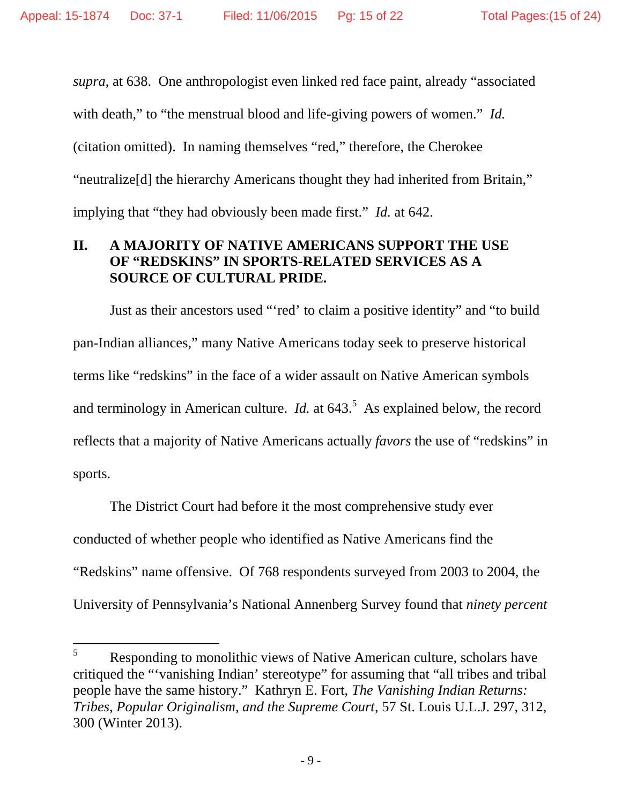*supra*, at 638. One anthropologist even linked red face paint, already "associated with death," to "the menstrual blood and life-giving powers of women." *Id.* (citation omitted). In naming themselves "red," therefore, the Cherokee "neutralize[d] the hierarchy Americans thought they had inherited from Britain," implying that "they had obviously been made first." *Id.* at 642.

### **II. A MAJORITY OF NATIVE AMERICANS SUPPORT THE USE OF "REDSKINS" IN SPORTS-RELATED SERVICES AS A SOURCE OF CULTURAL PRIDE.**

 Just as their ancestors used "'red' to claim a positive identity" and "to build pan-Indian alliances," many Native Americans today seek to preserve historical terms like "redskins" in the face of a wider assault on Native American symbols and terminology in American culture. *Id.* at  $643<sup>5</sup>$  As explained below, the record reflects that a majority of Native Americans actually *favors* the use of "redskins" in sports.

 The District Court had before it the most comprehensive study ever conducted of whether people who identified as Native Americans find the "Redskins" name offensive. Of 768 respondents surveyed from 2003 to 2004, the University of Pennsylvania's National Annenberg Survey found that *ninety percent*

<sup>5</sup> Responding to monolithic views of Native American culture, scholars have critiqued the "'vanishing Indian' stereotype" for assuming that "all tribes and tribal people have the same history." Kathryn E. Fort, *The Vanishing Indian Returns: Tribes, Popular Originalism, and the Supreme Court*, 57 St. Louis U.L.J. 297, 312, 300 (Winter 2013).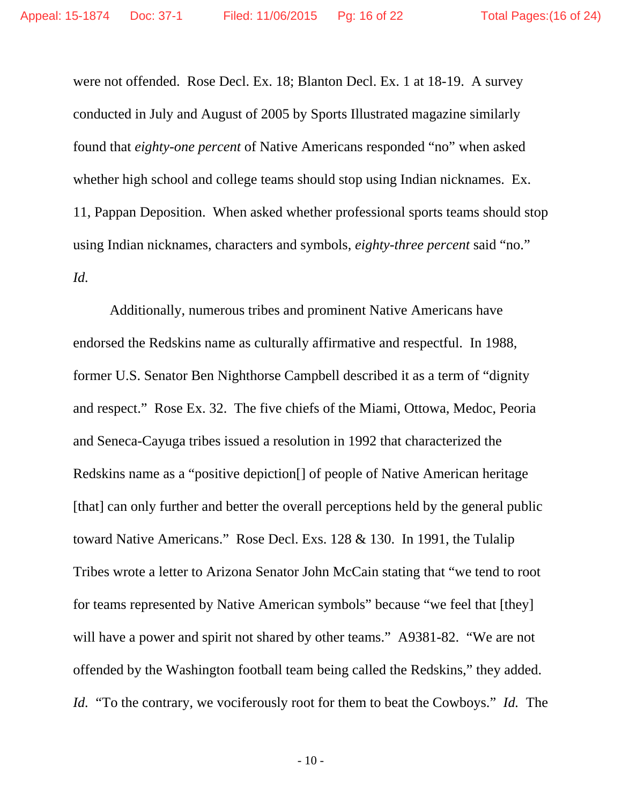were not offended. Rose Decl. Ex. 18; Blanton Decl. Ex. 1 at 18-19. A survey conducted in July and August of 2005 by Sports Illustrated magazine similarly found that *eighty-one percent* of Native Americans responded "no" when asked whether high school and college teams should stop using Indian nicknames. Ex. 11, Pappan Deposition. When asked whether professional sports teams should stop using Indian nicknames, characters and symbols, *eighty-three percent* said "no." *Id.*

 Additionally, numerous tribes and prominent Native Americans have endorsed the Redskins name as culturally affirmative and respectful. In 1988, former U.S. Senator Ben Nighthorse Campbell described it as a term of "dignity and respect." Rose Ex. 32. The five chiefs of the Miami, Ottowa, Medoc, Peoria and Seneca-Cayuga tribes issued a resolution in 1992 that characterized the Redskins name as a "positive depiction[] of people of Native American heritage [that] can only further and better the overall perceptions held by the general public toward Native Americans." Rose Decl. Exs. 128 & 130. In 1991, the Tulalip Tribes wrote a letter to Arizona Senator John McCain stating that "we tend to root for teams represented by Native American symbols" because "we feel that [they] will have a power and spirit not shared by other teams." A9381-82. "We are not offended by the Washington football team being called the Redskins," they added. *Id.* "To the contrary, we vociferously root for them to beat the Cowboys." *Id.* The

- 10 -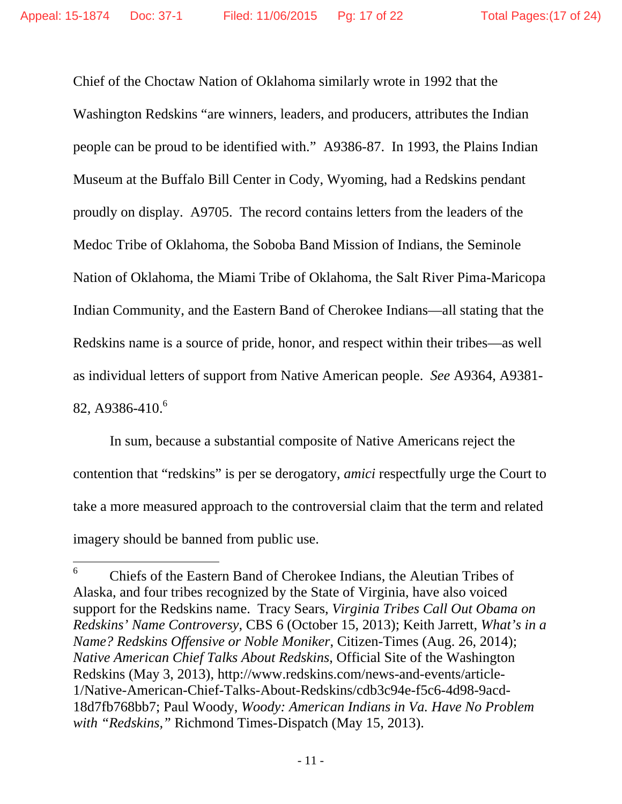Chief of the Choctaw Nation of Oklahoma similarly wrote in 1992 that the Washington Redskins "are winners, leaders, and producers, attributes the Indian people can be proud to be identified with." A9386-87. In 1993, the Plains Indian Museum at the Buffalo Bill Center in Cody, Wyoming, had a Redskins pendant proudly on display. A9705. The record contains letters from the leaders of the Medoc Tribe of Oklahoma, the Soboba Band Mission of Indians, the Seminole Nation of Oklahoma, the Miami Tribe of Oklahoma, the Salt River Pima-Maricopa Indian Community, and the Eastern Band of Cherokee Indians—all stating that the Redskins name is a source of pride, honor, and respect within their tribes—as well as individual letters of support from Native American people. *See* A9364, A9381- 82, A9386-410.<sup>6</sup>

 In sum, because a substantial composite of Native Americans reject the contention that "redskins" is per se derogatory, *amici* respectfully urge the Court to take a more measured approach to the controversial claim that the term and related imagery should be banned from public use.

<sup>6</sup> Chiefs of the Eastern Band of Cherokee Indians, the Aleutian Tribes of Alaska, and four tribes recognized by the State of Virginia, have also voiced support for the Redskins name. Tracy Sears, *Virginia Tribes Call Out Obama on Redskins' Name Controversy*, CBS 6 (October 15, 2013); Keith Jarrett, *What's in a Name? Redskins Offensive or Noble Moniker*, Citizen-Times (Aug. 26, 2014); *Native American Chief Talks About Redskins*, Official Site of the Washington Redskins (May 3, 2013), http://www.redskins.com/news-and-events/article-1/Native-American-Chief-Talks-About-Redskins/cdb3c94e-f5c6-4d98-9acd-18d7fb768bb7; Paul Woody, *Woody: American Indians in Va. Have No Problem with "Redskins,"* Richmond Times-Dispatch (May 15, 2013).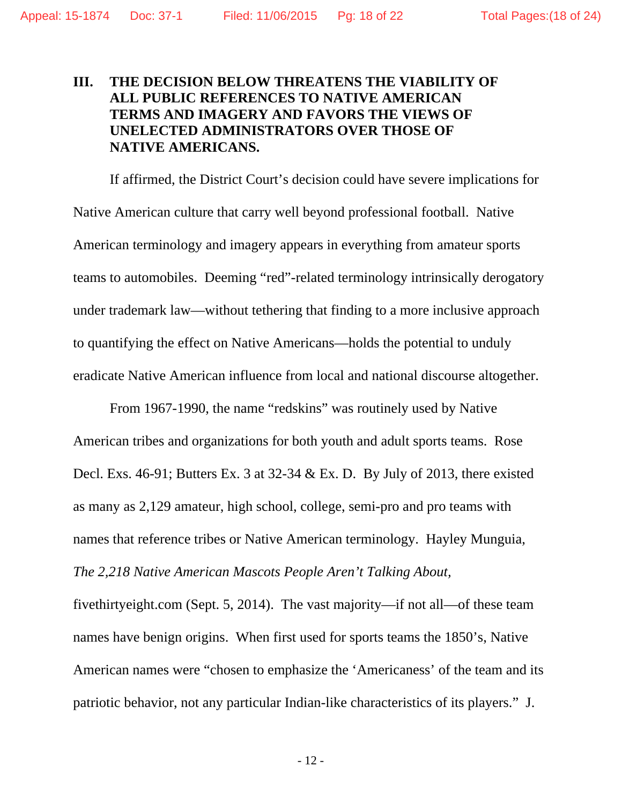### **III. THE DECISION BELOW THREATENS THE VIABILITY OF ALL PUBLIC REFERENCES TO NATIVE AMERICAN TERMS AND IMAGERY AND FAVORS THE VIEWS OF UNELECTED ADMINISTRATORS OVER THOSE OF NATIVE AMERICANS.**

 If affirmed, the District Court's decision could have severe implications for Native American culture that carry well beyond professional football. Native American terminology and imagery appears in everything from amateur sports teams to automobiles. Deeming "red"-related terminology intrinsically derogatory under trademark law—without tethering that finding to a more inclusive approach to quantifying the effect on Native Americans—holds the potential to unduly eradicate Native American influence from local and national discourse altogether.

 From 1967-1990, the name "redskins" was routinely used by Native American tribes and organizations for both youth and adult sports teams. Rose Decl. Exs. 46-91; Butters Ex. 3 at 32-34 & Ex. D. By July of 2013, there existed as many as 2,129 amateur, high school, college, semi-pro and pro teams with names that reference tribes or Native American terminology. Hayley Munguia, *The 2,218 Native American Mascots People Aren't Talking About,* 

fivethirtyeight.com (Sept. 5, 2014). The vast majority—if not all—of these team names have benign origins. When first used for sports teams the 1850's, Native American names were "chosen to emphasize the 'Americaness' of the team and its patriotic behavior, not any particular Indian-like characteristics of its players." J.

- 12 -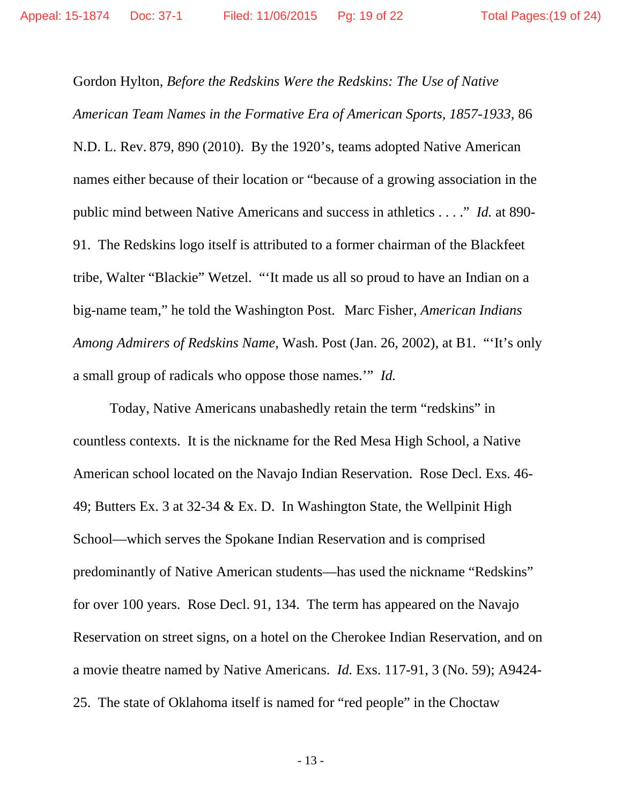Gordon Hylton, *Before the Redskins Were the Redskins: The Use of Native American Team Names in the Formative Era of American Sports, 1857-1933,* 86 N.D. L. Rev. 879, 890 (2010). By the 1920's, teams adopted Native American names either because of their location or "because of a growing association in the public mind between Native Americans and success in athletics . . . ." *Id.* at 890- 91. The Redskins logo itself is attributed to a former chairman of the Blackfeet tribe, Walter "Blackie" Wetzel. "'It made us all so proud to have an Indian on a big-name team," he told the Washington Post. Marc Fisher, *American Indians Among Admirers of Redskins Name,* Wash. Post (Jan. 26, 2002), at B1. "'It's only a small group of radicals who oppose those names.'" *Id.* 

Today, Native Americans unabashedly retain the term "redskins" in countless contexts. It is the nickname for the Red Mesa High School, a Native American school located on the Navajo Indian Reservation. Rose Decl. Exs. 46- 49; Butters Ex. 3 at 32-34 & Ex. D. In Washington State, the Wellpinit High School—which serves the Spokane Indian Reservation and is comprised predominantly of Native American students—has used the nickname "Redskins" for over 100 years. Rose Decl. 91, 134. The term has appeared on the Navajo Reservation on street signs, on a hotel on the Cherokee Indian Reservation, and on a movie theatre named by Native Americans. *Id.* Exs. 117-91, 3 (No. 59); A9424- 25. The state of Oklahoma itself is named for "red people" in the Choctaw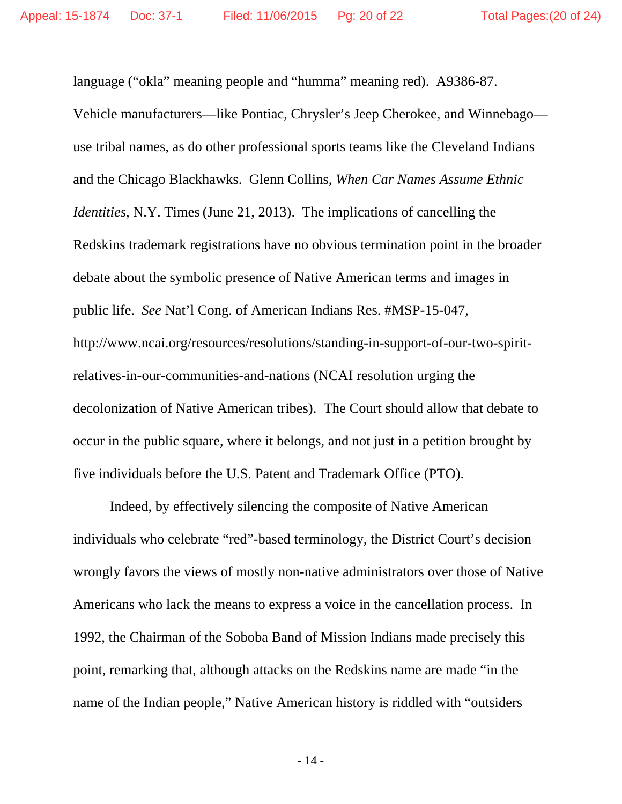language ("okla" meaning people and "humma" meaning red). A9386-87. Vehicle manufacturers—like Pontiac, Chrysler's Jeep Cherokee, and Winnebago use tribal names, as do other professional sports teams like the Cleveland Indians and the Chicago Blackhawks. Glenn Collins, *When Car Names Assume Ethnic Identities,* N.Y. Times (June 21, 2013). The implications of cancelling the Redskins trademark registrations have no obvious termination point in the broader debate about the symbolic presence of Native American terms and images in public life. *See* Nat'l Cong. of American Indians Res. #MSP-15-047, http://www.ncai.org/resources/resolutions/standing-in-support-of-our-two-spiritrelatives-in-our-communities-and-nations (NCAI resolution urging the decolonization of Native American tribes). The Court should allow that debate to occur in the public square, where it belongs, and not just in a petition brought by five individuals before the U.S. Patent and Trademark Office (PTO).

 Indeed, by effectively silencing the composite of Native American individuals who celebrate "red"-based terminology, the District Court's decision wrongly favors the views of mostly non-native administrators over those of Native Americans who lack the means to express a voice in the cancellation process. In 1992, the Chairman of the Soboba Band of Mission Indians made precisely this point, remarking that, although attacks on the Redskins name are made "in the name of the Indian people," Native American history is riddled with "outsiders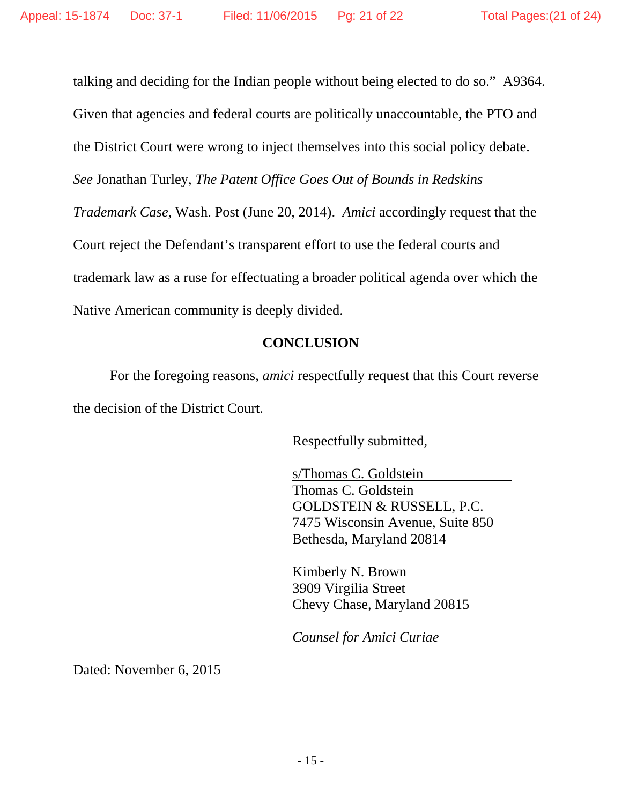talking and deciding for the Indian people without being elected to do so." A9364. Given that agencies and federal courts are politically unaccountable, the PTO and the District Court were wrong to inject themselves into this social policy debate. *See* Jonathan Turley, *The Patent Office Goes Out of Bounds in Redskins Trademark Case,* Wash. Post (June 20, 2014). *Amici* accordingly request that the Court reject the Defendant's transparent effort to use the federal courts and trademark law as a ruse for effectuating a broader political agenda over which the Native American community is deeply divided.

### **CONCLUSION**

For the foregoing reasons, *amici* respectfully request that this Court reverse the decision of the District Court.

Respectfully submitted,

 s/Thomas C. Goldstein Thomas C. Goldstein GOLDSTEIN & RUSSELL, P.C. 7475 Wisconsin Avenue, Suite 850 Bethesda, Maryland 20814

 Kimberly N. Brown 3909 Virgilia Street Chevy Chase, Maryland 20815

 *Counsel for Amici Curiae* 

Dated: November 6, 2015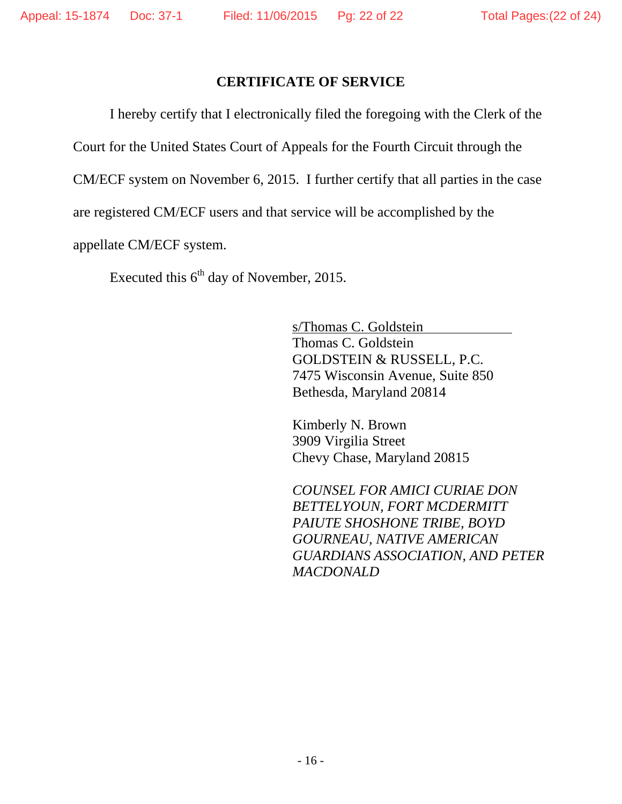### **CERTIFICATE OF SERVICE**

I hereby certify that I electronically filed the foregoing with the Clerk of the

Court for the United States Court of Appeals for the Fourth Circuit through the

CM/ECF system on November 6, 2015. I further certify that all parties in the case

are registered CM/ECF users and that service will be accomplished by the

appellate CM/ECF system.

Executed this  $6<sup>th</sup>$  day of November, 2015.

 s/Thomas C. Goldstein Thomas C. Goldstein GOLDSTEIN & RUSSELL, P.C. 7475 Wisconsin Avenue, Suite 850 Bethesda, Maryland 20814

 Kimberly N. Brown 3909 Virgilia Street Chevy Chase, Maryland 20815

 *COUNSEL FOR AMICI CURIAE DON BETTELYOUN, FORT MCDERMITT PAIUTE SHOSHONE TRIBE, BOYD GOURNEAU, NATIVE AMERICAN GUARDIANS ASSOCIATION, AND PETER MACDONALD*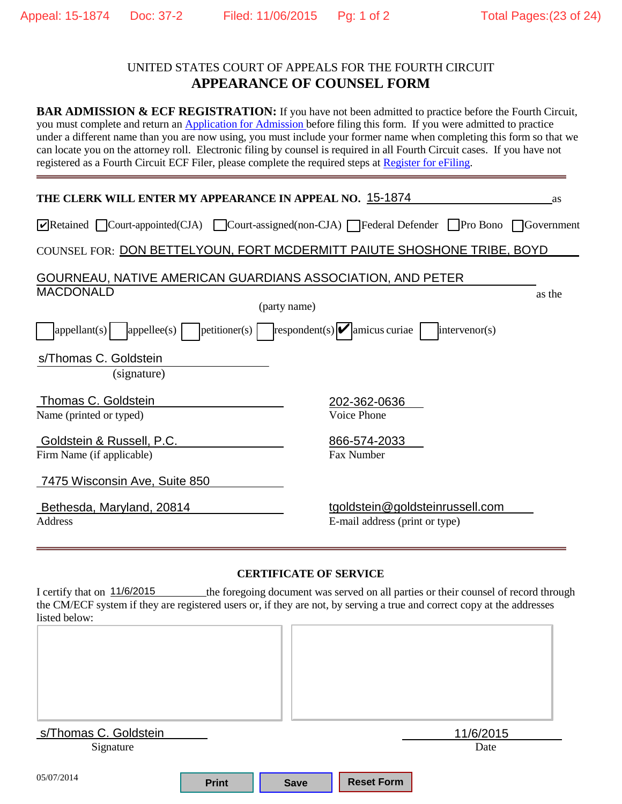### UNITED STATES COURT OF APPEALS FOR THE FOURTH CIRCUIT **APPEARANCE OF COUNSEL FORM**

**BAR ADMISSION & ECF REGISTRATION:** If you have not been admitted to practice before the Fourth Circuit, you must complete and return an Application for [Admission b](www.ca4.uscourts.gov/pdf/AttyAdm.pdf)efore filing this form. If you were admitted to practice under a different name than you are now using, you must include your former name when completing this form so that we can locate you on the attorney roll. Electronic filing by counsel is required in all Fourth Circuit cases. If you have not registered as a Fourth Circuit ECF Filer, please complete the required steps at [Register](http://www.ca4.uscourts.gov/caseinformationefiling/efiling_cm-ecf/reqsteps_ecffiler) for eFiling.

| THE CLERK WILL ENTER MY APPEARANCE IN APPEAL NO. 15-1874                               | as                                                                                                                                                                                                             |
|----------------------------------------------------------------------------------------|----------------------------------------------------------------------------------------------------------------------------------------------------------------------------------------------------------------|
|                                                                                        |                                                                                                                                                                                                                |
|                                                                                        |                                                                                                                                                                                                                |
| GOURNEAU, NATIVE AMERICAN GUARDIANS ASSOCIATION, AND PETER                             |                                                                                                                                                                                                                |
|                                                                                        |                                                                                                                                                                                                                |
| ${\rm petitioner(s)}$ ${\rm  }$ respondent(s) ${\rm  }$ amicus curiae<br>intervenor(s) |                                                                                                                                                                                                                |
|                                                                                        |                                                                                                                                                                                                                |
| 202-362-0636                                                                           |                                                                                                                                                                                                                |
| 866-574-2033<br>Fax Number                                                             |                                                                                                                                                                                                                |
|                                                                                        |                                                                                                                                                                                                                |
| tgoldstein@goldsteinrussell.com<br>E-mail address (print or type)                      |                                                                                                                                                                                                                |
|                                                                                        | $\sqrt{\text{Retained}}$ Court-appointed(CJA) Court-assigned(non-CJA) Federal Defender Pro Bono Government<br>COUNSEL FOR: DON BETTELYOUN, FORT MCDERMITT PAIUTE SHOSHONE TRIBE, BOYD<br>as the<br>Voice Phone |

#### **CERTIFICATE OF SERVICE**

I certify that on  $11/6/2015$  the foregoing document was served on all parties or their counsel of record through the CM/ECF system if they are registered users or, if they are not, by serving a true and correct copy at the addresses listed below:

| s/Thomas C. Goldstein |              |             |                   | 11/6/2015 |  |
|-----------------------|--------------|-------------|-------------------|-----------|--|
| Signature             |              |             |                   | Date      |  |
| 05/07/2014            | <b>Print</b> | <b>Save</b> | <b>Reset Form</b> |           |  |